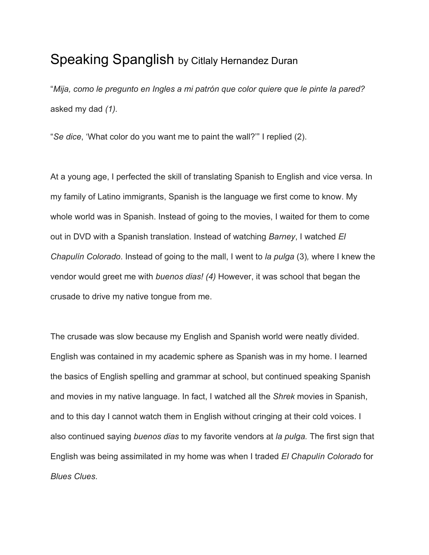## Speaking Spanglish by Citlaly Hernandez Duran

"*Mija, como le pregunto en Ingles a mi patrón que color quiere que le pinte la pared?* asked my dad *(1).*

"*Se dice*, 'What color do you want me to paint the wall?'" I replied (2).

At a young age, I perfected the skill of translating Spanish to English and vice versa. In my family of Latino immigrants, Spanish is the language we first come to know. My whole world was in Spanish. Instead of going to the movies, I waited for them to come out in DVD with a Spanish translation. Instead of watching *Barney*, I watched *El Chapulín Colorado*. Instead of going to the mall, I went to *la pulga* (3)*,* where I knew the vendor would greet me with *buenos dias! (4)* However, it was school that began the crusade to drive my native tongue from me.

The crusade was slow because my English and Spanish world were neatly divided. English was contained in my academic sphere as Spanish was in my home. I learned the basics of English spelling and grammar at school, but continued speaking Spanish and movies in my native language. In fact, I watched all the *Shrek* movies in Spanish, and to this day I cannot watch them in English without cringing at their cold voices. I also continued saying *buenos dias* to my favorite vendors at *la pulga.* The first sign that English was being assimilated in my home was when I traded *El Chapulín Colorado* for *Blues Clues*.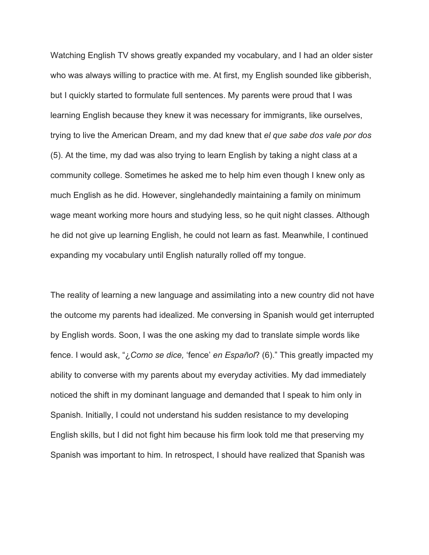Watching English TV shows greatly expanded my vocabulary, and I had an older sister who was always willing to practice with me. At first, my English sounded like gibberish, but I quickly started to formulate full sentences. My parents were proud that I was learning English because they knew it was necessary for immigrants, like ourselves, trying to live the American Dream, and my dad knew that *el que sabe dos vale por dos* (5). At the time, my dad was also trying to learn English by taking a night class at a community college. Sometimes he asked me to help him even though I knew only as much English as he did. However, singlehandedly maintaining a family on minimum wage meant working more hours and studying less, so he quit night classes. Although he did not give up learning English, he could not learn as fast. Meanwhile, I continued expanding my vocabulary until English naturally rolled off my tongue.

The reality of learning a new language and assimilating into a new country did not have the outcome my parents had idealized. Me conversing in Spanish would get interrupted by English words. Soon, I was the one asking my dad to translate simple words like fence. I would ask, "¿*Como se dice,* 'fence' *en Español*? (6)." This greatly impacted my ability to converse with my parents about my everyday activities. My dad immediately noticed the shift in my dominant language and demanded that I speak to him only in Spanish. Initially, I could not understand his sudden resistance to my developing English skills, but I did not fight him because his firm look told me that preserving my Spanish was important to him. In retrospect, I should have realized that Spanish was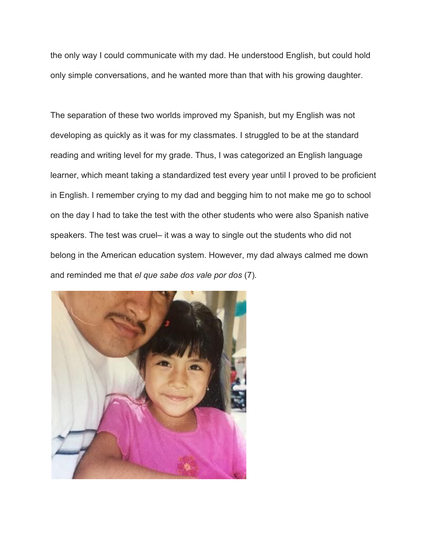the only way I could communicate with my dad. He understood English, but could hold only simple conversations, and he wanted more than that with his growing daughter.

The separation of these two worlds improved my Spanish, but my English was not developing as quickly as it was for my classmates. I struggled to be at the standard reading and writing level for my grade. Thus, I was categorized an English language learner, which meant taking a standardized test every year until I proved to be proficient in English. I remember crying to my dad and begging him to not make me go to school on the day I had to take the test with the other students who were also Spanish native speakers. The test was cruel– it was a way to single out the students who did not belong in the American education system. However, my dad always calmed me down and reminded me that *el que sabe dos vale por dos* (7)*.*

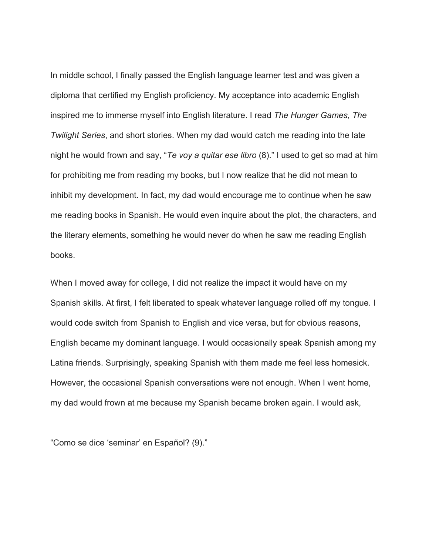In middle school, I finally passed the English language learner test and was given a diploma that certified my English proficiency. My acceptance into academic English inspired me to immerse myself into English literature. I read *The Hunger Games*, *The Twilight Series*, and short stories. When my dad would catch me reading into the late night he would frown and say, "*Te voy a quitar ese libro* (8)." I used to get so mad at him for prohibiting me from reading my books, but I now realize that he did not mean to inhibit my development. In fact, my dad would encourage me to continue when he saw me reading books in Spanish. He would even inquire about the plot, the characters, and the literary elements, something he would never do when he saw me reading English books.

When I moved away for college, I did not realize the impact it would have on my Spanish skills. At first, I felt liberated to speak whatever language rolled off my tongue. I would code switch from Spanish to English and vice versa, but for obvious reasons, English became my dominant language. I would occasionally speak Spanish among my Latina friends. Surprisingly, speaking Spanish with them made me feel less homesick. However, the occasional Spanish conversations were not enough. When I went home, my dad would frown at me because my Spanish became broken again. I would ask,

"Como se dice 'seminar' en Español? (9)."